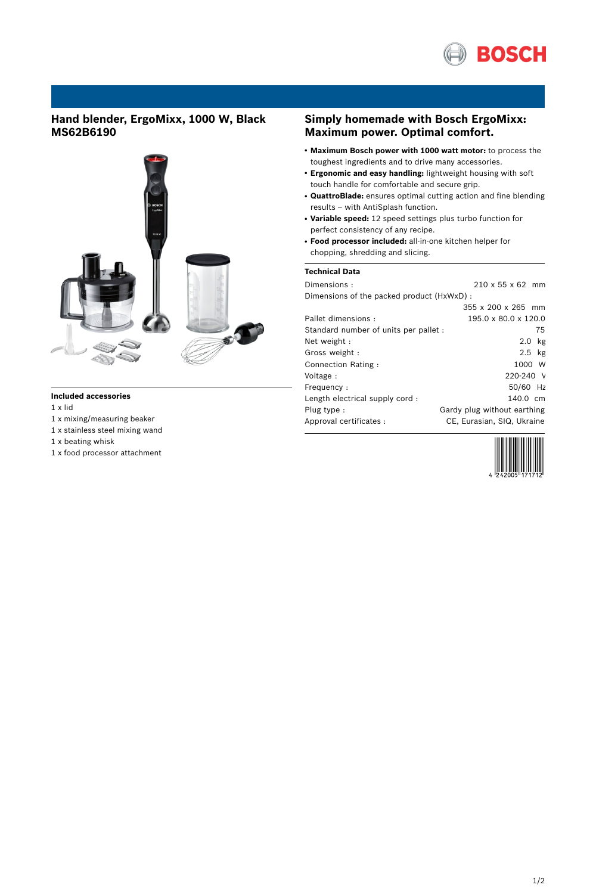

# **Hand blender, ErgoMixx, 1000 W, Black MS62B6190**



### **Included accessories**

1 x lid

- 1 x mixing/measuring beaker
- 1 x stainless steel mixing wand
- 1 x beating whisk
- 1 x food processor attachment

### **Simply homemade with Bosch ErgoMixx: Maximum power. Optimal comfort.**

- **Maximum Bosch power with 1000 watt motor:** to process the toughest ingredients and to drive many accessories.
- **Ergonomic and easy handling:** lightweight housing with soft touch handle for comfortable and secure grip.
- **QuattroBlade:** ensures optimal cutting action and fine blending results – with AntiSplash function.
- **Variable speed:** 12 speed settings plus turbo function for perfect consistency of any recipe.
- **Food processor included:** all-in-one kitchen helper for chopping, shredding and slicing.

### **Technical Data**

| Dimensions:                               | $210 \times 55 \times 62$ mm |
|-------------------------------------------|------------------------------|
| Dimensions of the packed product (HxWxD): |                              |
|                                           | 355 x 200 x 265 mm           |
| Pallet dimensions:                        | 195.0 x 80.0 x 120.0         |
| Standard number of units per pallet :     | 75                           |
| Net weight:                               | $2.0$ kg                     |
| Gross weight:                             | $2.5$ kg                     |
| Connection Rating:                        | 1000 W                       |
| Voltage :                                 | $220 - 240$ V                |
| Frequency:                                | 50/60 Hz                     |
| Length electrical supply cord:            | 140.0 cm                     |
| Plug type:                                | Gardy plug without earthing  |
| Approval certificates :                   | CE, Eurasian, SIQ, Ukraine   |
|                                           |                              |